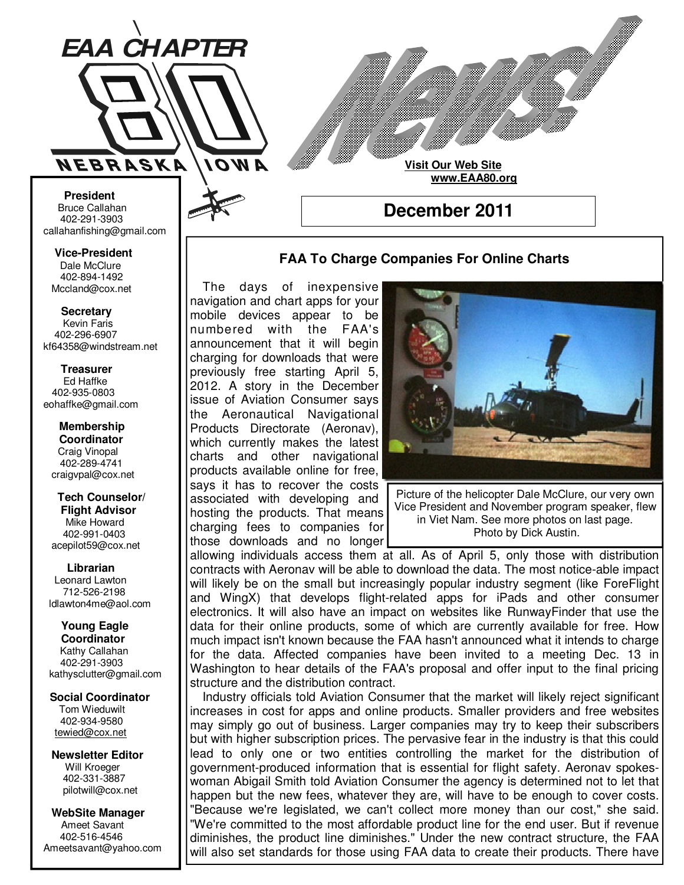

**Visit Our Web Site**

 **www.EAA80.org**

**December 2011** 

## **FAA To Charge Companies For Online Charts**

 The days of inexpensive navigation and chart apps for your mobile devices appear to be numbered with the FAA's announcement that it will begin charging for downloads that were previously free starting April 5, 2012. A story in the December issue of Aviation Consumer says the Aeronautical Navigational Products Directorate (Aeronav), which currently makes the latest charts and other navigational products available online for free, says it has to recover the costs associated with developing and hosting the products. That means charging fees to companies for those downloads and no longer



Picture of the helicopter Dale McClure, our very own Vice President and November program speaker, flew in Viet Nam. See more photos on last page. Photo by Dick Austin.

allowing individuals access them at all. As of April 5, only those with distribution contracts with Aeronav will be able to download the data. The most notice-able impact will likely be on the small but increasingly popular industry segment (like ForeFlight and WingX) that develops flight-related apps for iPads and other consumer electronics. It will also have an impact on websites like RunwayFinder that use the data for their online products, some of which are currently available for free. How much impact isn't known because the FAA hasn't announced what it intends to charge for the data. Affected companies have been invited to a meeting Dec. 13 in Washington to hear details of the FAA's proposal and offer input to the final pricing structure and the distribution contract.

 Industry officials told Aviation Consumer that the market will likely reject significant increases in cost for apps and online products. Smaller providers and free websites may simply go out of business. Larger companies may try to keep their subscribers but with higher subscription prices. The pervasive fear in the industry is that this could lead to only one or two entities controlling the market for the distribution of government-produced information that is essential for flight safety. Aeronav spokeswoman Abigail Smith told Aviation Consumer the agency is determined not to let that happen but the new fees, whatever they are, will have to be enough to cover costs. "Because we're legislated, we can't collect more money than our cost," she said. "We're committed to the most affordable product line for the end user. But if revenue diminishes, the product line diminishes." Under the new contract structure, the FAA will also set standards for those using FAA data to create their products. There have

**Bruce Callahan** 402-291-3903 callahanfishing@gmail.com jrnuke@cox.net  **President** 

Dale McClure 402-894-1492 Mccland@cox.net  **Vice-President** 

**Kevin Faris** 402-296-6907 kf64358@windstream.net  **Secretary** 

Ed Haffke 402-935-0803 eohaffke@gmail.com  **Treasurer** 

eohaffke@gmail.com **Membership Coordi- Coordinator**  Craig Vinopal Bob Cartwright 402-289-4741 craigvpal@cox.net  **Membership** 

robertc@novia.net **Tech Counselors & Flight Advisor** Mike Howard Bob Harvey 402-991-0403 acepilot59@cox.net  **Tech Counselor/** 

Leonard Lawton 402-991-0403 712-526-2198 ldlawton4me@aol.com  **Librarian**

**Librarian Young Eagle Coordinator** Kathy Callahan ldlawton4me@aol.com 402-291-3903 kathysclutter@gmail.com

 **Coordinator Social Coordinator**  Tom Wieduwilt 402-964-2645 402-934-9580 tewied@cox.net

**Newsletter Editor Newsletter Editor**  Will Kroeger Will Kroeger 402-331-3887 402-331-3887 pilotwill@cox.net

**WebSite Manager WebSite Manager**  Ameet Savant 402-516-4546 Ameet Savant<br>402-516-4546<br>Ameetsavant@yahoo.com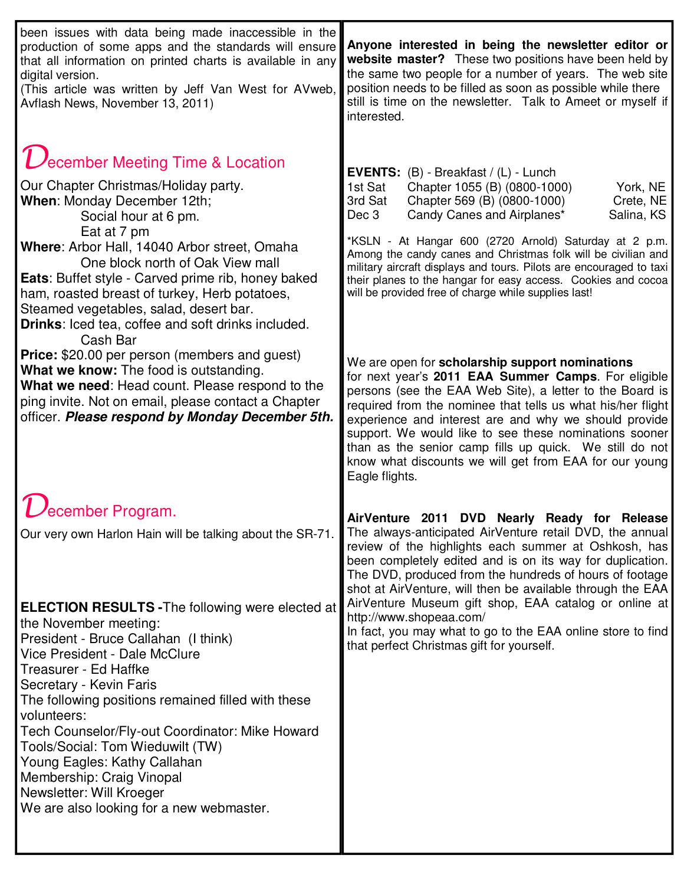| been issues with data being made inaccessible in the<br>production of some apps and the standards will ensure<br>that all information on printed charts is available in any<br>digital version.<br>(This article was written by Jeff Van West for AVweb,<br>Avflash News, November 13, 2011)                                                                                                                                                                                                                                                                                                                                                                                                                                                   | Anyone interested in being the newsletter editor or<br>website master? These two positions have been held by<br>the same two people for a number of years. The web site<br>position needs to be filled as soon as possible while there<br>still is time on the newsletter. Talk to Ameet or myself if<br>interested.                                                                                                                                                                                                                                                                                                                                                                                                                                                                                                                                                                        |
|------------------------------------------------------------------------------------------------------------------------------------------------------------------------------------------------------------------------------------------------------------------------------------------------------------------------------------------------------------------------------------------------------------------------------------------------------------------------------------------------------------------------------------------------------------------------------------------------------------------------------------------------------------------------------------------------------------------------------------------------|---------------------------------------------------------------------------------------------------------------------------------------------------------------------------------------------------------------------------------------------------------------------------------------------------------------------------------------------------------------------------------------------------------------------------------------------------------------------------------------------------------------------------------------------------------------------------------------------------------------------------------------------------------------------------------------------------------------------------------------------------------------------------------------------------------------------------------------------------------------------------------------------|
| $\mathcal U$ ecember Meeting Time & Location<br>Our Chapter Christmas/Holiday party.<br>When: Monday December 12th;<br>Social hour at 6 pm.<br>Eat at 7 pm<br>Where: Arbor Hall, 14040 Arbor street, Omaha<br>One block north of Oak View mall<br><b>Eats:</b> Buffet style - Carved prime rib, honey baked<br>ham, roasted breast of turkey, Herb potatoes,<br>Steamed vegetables, salad, desert bar.<br><b>Drinks:</b> Iced tea, coffee and soft drinks included.<br>Cash Bar<br><b>Price:</b> \$20.00 per person (members and guest)<br>What we know: The food is outstanding.<br>What we need: Head count. Please respond to the<br>ping invite. Not on email, please contact a Chapter<br>officer. Please respond by Monday December 5th. | EVENTS: (B) - Breakfast / (L) - Lunch<br>1st Sat<br>Chapter 1055 (B) (0800-1000)<br>York, NE<br>3rd Sat<br>Chapter 569 (B) (0800-1000)<br>Crete, NE<br>Candy Canes and Airplanes*<br>Dec 3<br>Salina, KS<br>*KSLN - At Hangar 600 (2720 Arnold) Saturday at 2 p.m.<br>Among the candy canes and Christmas folk will be civilian and<br>military aircraft displays and tours. Pilots are encouraged to taxi<br>their planes to the hangar for easy access. Cookies and cocoa<br>will be provided free of charge while supplies last!<br>We are open for scholarship support nominations<br>for next year's 2011 EAA Summer Camps. For eligible<br>persons (see the EAA Web Site), a letter to the Board is<br>required from the nominee that tells us what his/her flight<br>experience and interest are and why we should provide<br>support. We would like to see these nominations sooner |
| ecember Program.<br>Our very own Harlon Hain will be talking about the SR-71.                                                                                                                                                                                                                                                                                                                                                                                                                                                                                                                                                                                                                                                                  | than as the senior camp fills up quick. We still do not<br>know what discounts we will get from EAA for our young<br>Eagle flights.<br><b>AirVenture</b><br>2011<br><b>DVD</b><br>Nearly Ready for Release<br>The always-anticipated AirVenture retail DVD, the annual<br>review of the highlights each summer at Oshkosh, has<br>been completely edited and is on its way for duplication.<br>The DVD, produced from the hundreds of hours of footage                                                                                                                                                                                                                                                                                                                                                                                                                                      |
| <b>ELECTION RESULTS - The following were elected at</b><br>the November meeting:<br>President - Bruce Callahan (I think)<br>Vice President - Dale McClure<br>Treasurer - Ed Haffke<br>Secretary - Kevin Faris<br>The following positions remained filled with these<br>volunteers:<br>Tech Counselor/Fly-out Coordinator: Mike Howard<br>Tools/Social: Tom Wieduwilt (TW)<br>Young Eagles: Kathy Callahan<br>Membership: Craig Vinopal<br>Newsletter: Will Kroeger<br>We are also looking for a new webmaster.                                                                                                                                                                                                                                 | shot at AirVenture, will then be available through the EAA<br>AirVenture Museum gift shop, EAA catalog or online at<br>http://www.shopeaa.com/<br>In fact, you may what to go to the EAA online store to find<br>that perfect Christmas gift for yourself.                                                                                                                                                                                                                                                                                                                                                                                                                                                                                                                                                                                                                                  |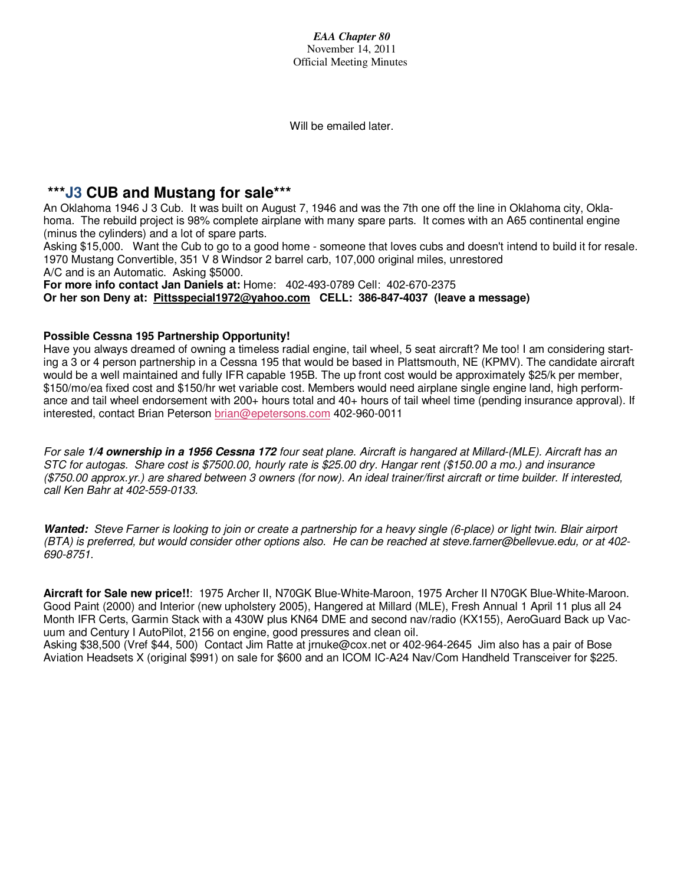*EAA Chapter 80*  November 14, 2011 Official Meeting Minutes

Will be emailed later.

## **\*\*\*J3 CUB and Mustang for sale\*\*\***

An Oklahoma 1946 J 3 Cub. It was built on August 7, 1946 and was the 7th one off the line in Oklahoma city, Oklahoma. The rebuild project is 98% complete airplane with many spare parts. It comes with an A65 continental engine (minus the cylinders) and a lot of spare parts.

Asking \$15,000. Want the Cub to go to a good home - someone that loves cubs and doesn't intend to build it for resale. 1970 Mustang Convertible, 351 V 8 Windsor 2 barrel carb, 107,000 original miles, unrestored A/C and is an Automatic. Asking \$5000.

**For more info contact Jan Daniels at:** Home: 402-493-0789 Cell: 402-670-2375 **Or her son Deny at: Pittsspecial1972@yahoo.com CELL: 386-847-4037 (leave a message)**

## **Possible Cessna 195 Partnership Opportunity!**

Have you always dreamed of owning a timeless radial engine, tail wheel, 5 seat aircraft? Me too! I am considering starting a 3 or 4 person partnership in a Cessna 195 that would be based in Plattsmouth, NE (KPMV). The candidate aircraft would be a well maintained and fully IFR capable 195B. The up front cost would be approximately \$25/k per member, \$150/mo/ea fixed cost and \$150/hr wet variable cost. Members would need airplane single engine land, high performance and tail wheel endorsement with  $200+$  hours total and  $40+$  hours of tail wheel time (pending insurance approval). If interested, contact Brian Peterson brian@epetersons.com 402-960-0011

For sale *1/4 ownership in a 1956 Cessna 172* four seat plane. Aircraft is hangared at Millard-(MLE). Aircraft has an STC for autogas. Share cost is \$7500.00, hourly rate is \$25.00 dry. Hangar rent (\$150.00 a mo.) and insurance (\$750.00 approx.yr.) are shared between 3 owners (for now). An ideal trainer/first aircraft or time builder. If interested, call Ken Bahr at 402-559-0133.

*Wanted:* Steve Farner is looking to join or create a partnership for a heavy single (6-place) or light twin. Blair airport (BTA) is preferred, but would consider other options also. He can be reached at steve.farner@bellevue.edu, or at 402- 690-8751.

**Aircraft for Sale new price!!**: 1975 Archer II, N70GK Blue-White-Maroon, 1975 Archer II N70GK Blue-White-Maroon. Good Paint (2000) and Interior (new upholstery 2005), Hangered at Millard (MLE), Fresh Annual 1 April 11 plus all 24 Month IFR Certs, Garmin Stack with a 430W plus KN64 DME and second nav/radio (KX155), AeroGuard Back up Vacuum and Century I AutoPilot, 2156 on engine, good pressures and clean oil.

Asking \$38,500 (Vref \$44, 500) Contact Jim Ratte at jrnuke@cox.net or 402-964-2645 Jim also has a pair of Bose Aviation Headsets X (original \$991) on sale for \$600 and an ICOM IC-A24 Nav/Com Handheld Transceiver for \$225.